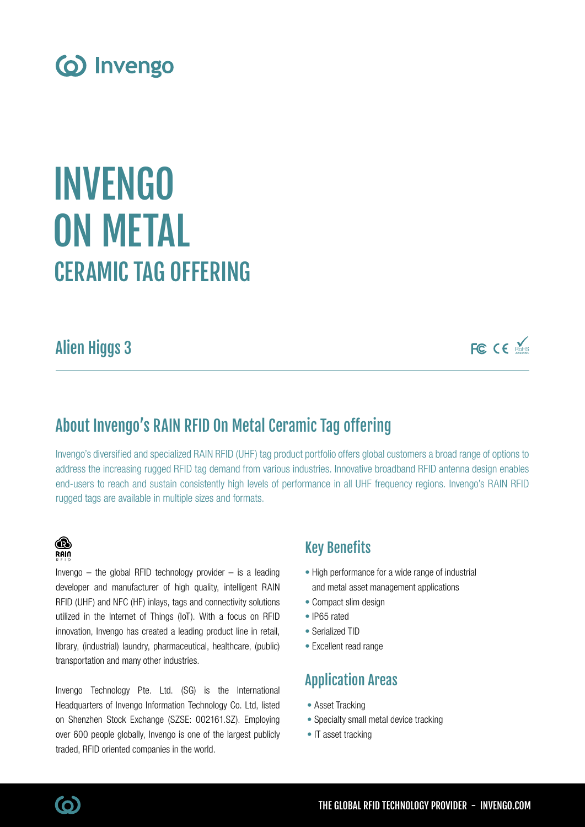

# CERAMIC TAG OFFERING INVENGO ON METAL

## Alien Higgs 3

FC CE MARIS

### About Invengo's RAIN RFID On Metal Ceramic Tag offering

Invengo's diversified and specialized RAIN RFID (UHF) tag product portfolio offers global customers a broad range of options to address the increasing rugged RFID tag demand from various industries. Innovative broadband RFID antenna design enables end-users to reach and sustain consistently high levels of performance in all UHF frequency regions. Invengo's RAIN RFID rugged tags are available in multiple sizes and formats.



Invengo  $-$  the global RFID technology provider  $-$  is a leading developer and manufacturer of high quality, intelligent RAIN RFID (UHF) and NFC (HF) inlays, tags and connectivity solutions utilized in the Internet of Things (IoT). With a focus on RFID innovation, Invengo has created a leading product line in retail, library, (industrial) laundry, pharmaceutical, healthcare, (public) transportation and many other industries.

Invengo Technology Pte. Ltd. (SG) is the International Headquarters of Invengo Information Technology Co. Ltd, listed on Shenzhen Stock Exchange (SZSE: 002161.SZ). Employing over 600 people globally, Invengo is one of the largest publicly traded, RFID oriented companies in the world.

### Key Benefits

- High performance for a wide range of industrial and metal asset management applications
- Compact slim design
- IP65 rated
- Serialized TID
- Excellent read range

### Application Areas

- Asset Tracking
- Specialty small metal device tracking
- IT asset tracking